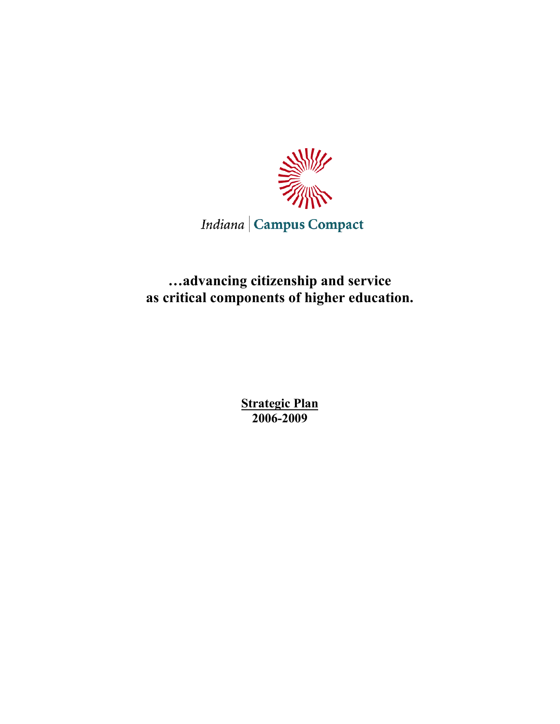

Indiana | Campus Compact

**…advancing citizenship and service as critical components of higher education.**

> **Strategic Plan 2006-2009**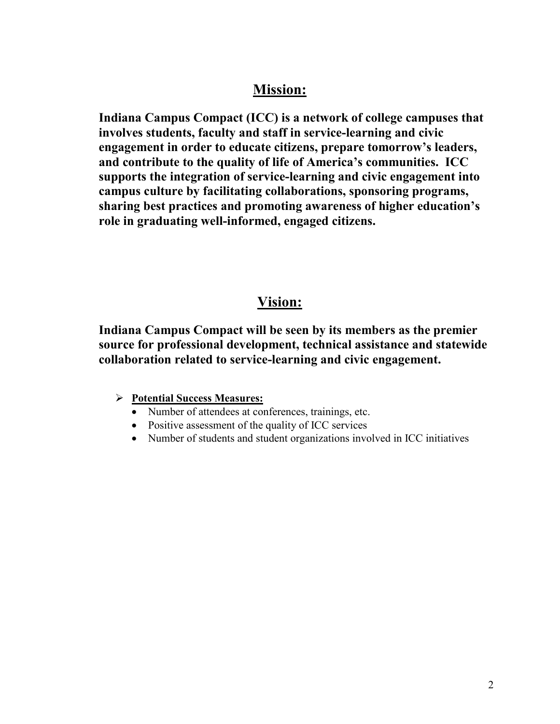# **Mission:**

**Indiana Campus Compact (ICC) is a network of college campuses that involves students, faculty and staff in service-learning and civic engagement in order to educate citizens, prepare tomorrow's leaders, and contribute to the quality of life of America's communities. ICC supports the integration of service-learning and civic engagement into campus culture by facilitating collaborations, sponsoring programs, sharing best practices and promoting awareness of higher education's role in graduating well-informed, engaged citizens.** 

# **Vision:**

**Indiana Campus Compact will be seen by its members as the premier source for professional development, technical assistance and statewide collaboration related to service-learning and civic engagement.**

## **Potential Success Measures:**

- Number of attendees at conferences, trainings, etc.
- Positive assessment of the quality of ICC services
- Number of students and student organizations involved in ICC initiatives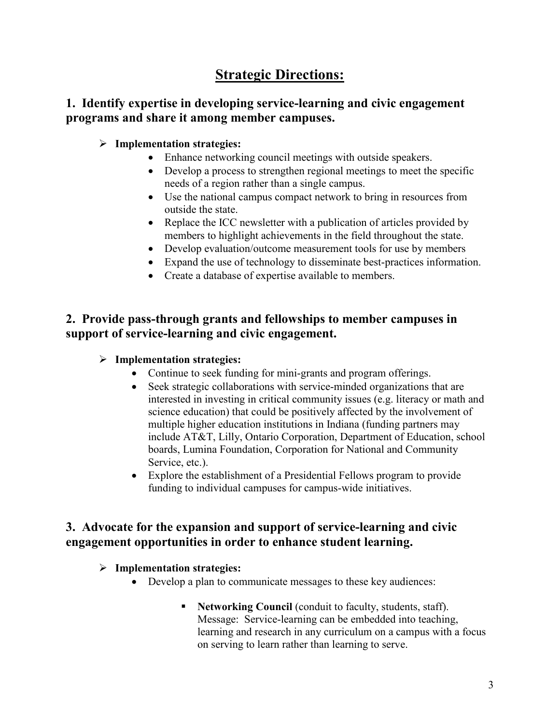# **Strategic Directions:**

## **1. Identify expertise in developing service-learning and civic engagement programs and share it among member campuses.**

## **Implementation strategies:**

- Enhance networking council meetings with outside speakers.
- Develop a process to strengthen regional meetings to meet the specific needs of a region rather than a single campus.
- Use the national campus compact network to bring in resources from outside the state.
- Replace the ICC newsletter with a publication of articles provided by members to highlight achievements in the field throughout the state.
- Develop evaluation/outcome measurement tools for use by members
- Expand the use of technology to disseminate best-practices information.
- Create a database of expertise available to members.

## **2. Provide pass-through grants and fellowships to member campuses in support of service-learning and civic engagement.**

#### **Implementation strategies:**

- Continue to seek funding for mini-grants and program offerings.
- Seek strategic collaborations with service-minded organizations that are interested in investing in critical community issues (e.g. literacy or math and science education) that could be positively affected by the involvement of multiple higher education institutions in Indiana (funding partners may include AT&T, Lilly, Ontario Corporation, Department of Education, school boards, Lumina Foundation, Corporation for National and Community Service, etc.).
- Explore the establishment of a Presidential Fellows program to provide funding to individual campuses for campus-wide initiatives.

## **3. Advocate for the expansion and support of service-learning and civic engagement opportunities in order to enhance student learning.**

## **Implementation strategies:**

- Develop a plan to communicate messages to these key audiences:
	- **Networking Council** (conduit to faculty, students, staff). Message: Service-learning can be embedded into teaching, learning and research in any curriculum on a campus with a focus on serving to learn rather than learning to serve.